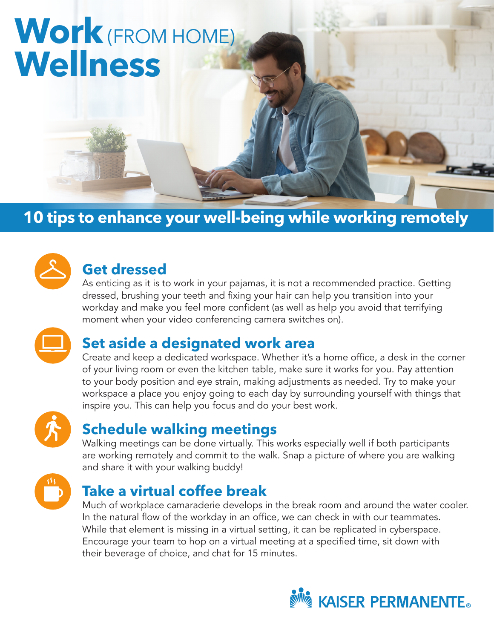# **Work**(FROM HOME) **Wellness**

# **10 tips to enhance your well-being while working remotely**



## **Get dressed**

As enticing as it is to work in your pajamas, it is not a recommended practice. Getting dressed, brushing your teeth and fixing your hair can help you transition into your workday and make you feel more confident (as well as help you avoid that terrifying moment when your video conferencing camera switches on).



#### **Set aside a designated work area**

Create and keep a dedicated workspace. Whether it's a home office, a desk in the corner of your living room or even the kitchen table, make sure it works for you. Pay attention to your body position and eye strain, making adjustments as needed. Try to make your workspace a place you enjoy going to each day by surrounding yourself with things that inspire you. This can help you focus and do your best work.



#### **Schedule walking meetings**

Walking meetings can be done virtually. This works especially well if both participants are working remotely and commit to the walk. Snap a picture of where you are walking and share it with your walking buddy!



# **Take a virtual coffee break**

Much of workplace camaraderie develops in the break room and around the water cooler. In the natural flow of the workday in an office, we can check in with our teammates. While that element is missing in a virtual setting, it can be replicated in cyberspace. Encourage your team to hop on a virtual meeting at a specified time, sit down with their beverage of choice, and chat for 15 minutes.